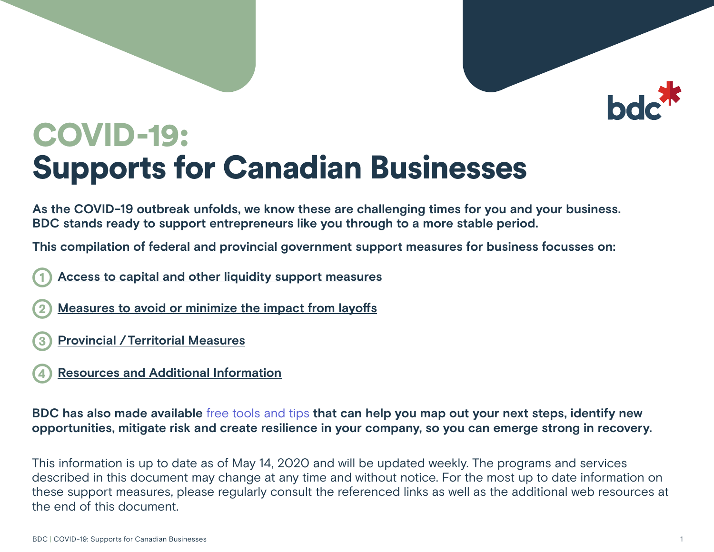# COVID-19: Supports for Canadian Businesses

**As the COVID-19 outbreak unfolds, we know these are challenging times for you and your business. BDC stands ready to support entrepreneurs like you through to a more stable period.** 

**This compilation of federal and provincial government support measures for business focusses on:** 

- 1 **[Access to capital and other liquidity support measures](#page-1-0)**
- 2 **[Measures to avoid or minimize the impact from layoffs](#page-4-0)**
- 3 **Provincial [/Territorial Measures](#page-6-0)**
- 4 **[Resources and Additional Information](#page-15-0)**

**BDC has also made available** free tools and tips **[that can help you map out your next steps, identify new](https://www.bdc.ca/en/articles-tools/entrepreneur-toolkit/templates-business-guides/pages/covid19-toolkit-download.aspx)  [opportunities, mitigate risk and create resilience in your company, so you can emerge strong in recovery.](https://www.bdc.ca/en/articles-tools/entrepreneur-toolkit/templates-business-guides/pages/covid19-toolkit-download.aspx)**

This information is up to date as of May 14, 2020 and will be updated weekly. The programs and services described in this document may change at any time and without notice. For the most up to date information on these support measures, please regularly consult the referenced links as well as the additional web resources at the end of this document.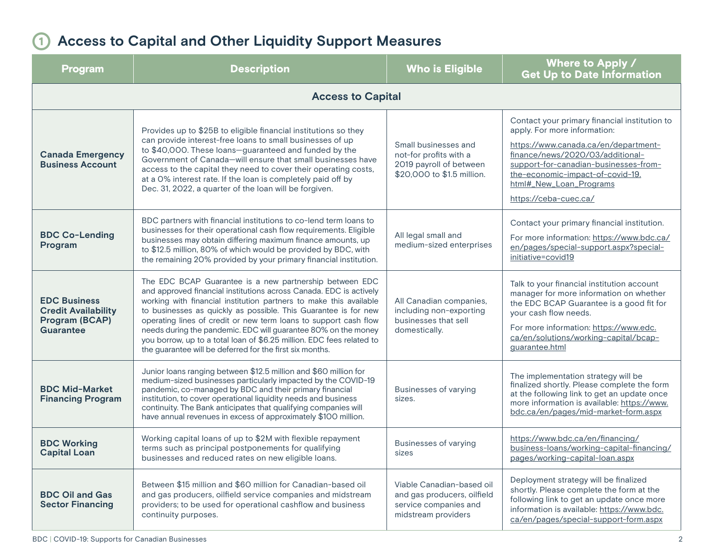### <span id="page-1-0"></span>1 **Access to Capital and Other Liquidity Support Measures**

| <b>Program</b>                                                                   | <b>Description</b>                                                                                                                                                                                                                                                                                                                                                                                                                                                                                                                                | <b>Who is Eligible</b>                                                                                   | Where to Apply /<br><b>Get Up to Date Information</b>                                                                                                                                                                                                                                      |
|----------------------------------------------------------------------------------|---------------------------------------------------------------------------------------------------------------------------------------------------------------------------------------------------------------------------------------------------------------------------------------------------------------------------------------------------------------------------------------------------------------------------------------------------------------------------------------------------------------------------------------------------|----------------------------------------------------------------------------------------------------------|--------------------------------------------------------------------------------------------------------------------------------------------------------------------------------------------------------------------------------------------------------------------------------------------|
|                                                                                  | <b>Access to Capital</b>                                                                                                                                                                                                                                                                                                                                                                                                                                                                                                                          |                                                                                                          |                                                                                                                                                                                                                                                                                            |
| <b>Canada Emergency</b><br><b>Business Account</b>                               | Provides up to \$25B to eligible financial institutions so they<br>can provide interest-free loans to small businesses of up<br>to \$40,000. These loans-guaranteed and funded by the<br>Government of Canada-will ensure that small businesses have<br>access to the capital they need to cover their operating costs,<br>at a 0% interest rate. If the loan is completely paid off by<br>Dec. 31, 2022, a quarter of the loan will be forgiven.                                                                                                 | Small businesses and<br>not-for profits with a<br>2019 payroll of between<br>\$20,000 to \$1.5 million.  | Contact your primary financial institution to<br>apply. For more information:<br>https://www.canada.ca/en/department-<br>finance/news/2020/03/additional-<br>support-for-canadian-businesses-from-<br>the-economic-impact-of-covid-19.<br>html#_New_Loan_Programs<br>https://ceba-cuec.ca/ |
| <b>BDC Co-Lending</b><br>Program                                                 | BDC partners with financial institutions to co-lend term loans to<br>businesses for their operational cash flow requirements. Eligible<br>businesses may obtain differing maximum finance amounts, up<br>to \$12.5 million, 80% of which would be provided by BDC, with<br>the remaining 20% provided by your primary financial institution.                                                                                                                                                                                                      | All legal small and<br>medium-sized enterprises                                                          | Contact your primary financial institution.<br>For more information: https://www.bdc.ca/<br>en/pages/special-support.aspx?special-<br>initiative=covid19                                                                                                                                   |
| <b>EDC Business</b><br><b>Credit Availability</b><br>Program (BCAP)<br>Guarantee | The EDC BCAP Guarantee is a new partnership between EDC<br>and approved financial institutions across Canada. EDC is actively<br>working with financial institution partners to make this available<br>to businesses as quickly as possible. This Guarantee is for new<br>operating lines of credit or new term loans to support cash flow<br>needs during the pandemic. EDC will guarantee 80% on the money<br>you borrow, up to a total loan of \$6.25 million. EDC fees related to<br>the guarantee will be deferred for the first six months. | All Canadian companies,<br>including non-exporting<br>businesses that sell<br>domestically.              | Talk to your financial institution account<br>manager for more information on whether<br>the EDC BCAP Guarantee is a good fit for<br>your cash flow needs.<br>For more information: https://www.edc.<br>ca/en/solutions/working-capital/bcap-<br>guarantee.html                            |
| <b>BDC Mid-Market</b><br><b>Financing Program</b>                                | Junior loans ranging between \$12.5 million and \$60 million for<br>medium-sized businesses particularly impacted by the COVID-19<br>pandemic, co-managed by BDC and their primary financial<br>institution, to cover operational liquidity needs and business<br>continuity. The Bank anticipates that qualifying companies will<br>have annual revenues in excess of approximately \$100 million.                                                                                                                                               | Businesses of varying<br>sizes.                                                                          | The implementation strategy will be<br>finalized shortly. Please complete the form<br>at the following link to get an update once<br>more information is available: https://www.<br>bdc.ca/en/pages/mid-market-form.aspx                                                                   |
| <b>BDC Working</b><br><b>Capital Loan</b>                                        | Working capital loans of up to \$2M with flexible repayment<br>terms such as principal postponements for qualifying<br>businesses and reduced rates on new eligible loans.                                                                                                                                                                                                                                                                                                                                                                        | Businesses of varying<br>sizes                                                                           | https://www.bdc.ca/en/financing/<br>business-loans/working-capital-financing/<br>pages/working-capital-loan.aspx                                                                                                                                                                           |
| <b>BDC Oil and Gas</b><br><b>Sector Financing</b>                                | Between \$15 million and \$60 million for Canadian-based oil<br>and gas producers, oilfield service companies and midstream<br>providers; to be used for operational cashflow and business<br>continuity purposes.                                                                                                                                                                                                                                                                                                                                | Viable Canadian-based oil<br>and gas producers, oilfield<br>service companies and<br>midstream providers | Deployment strategy will be finalized<br>shortly. Please complete the form at the<br>following link to get an update once more<br>information is available: https://www.bdc.<br>ca/en/pages/special-support-form.aspx                                                                      |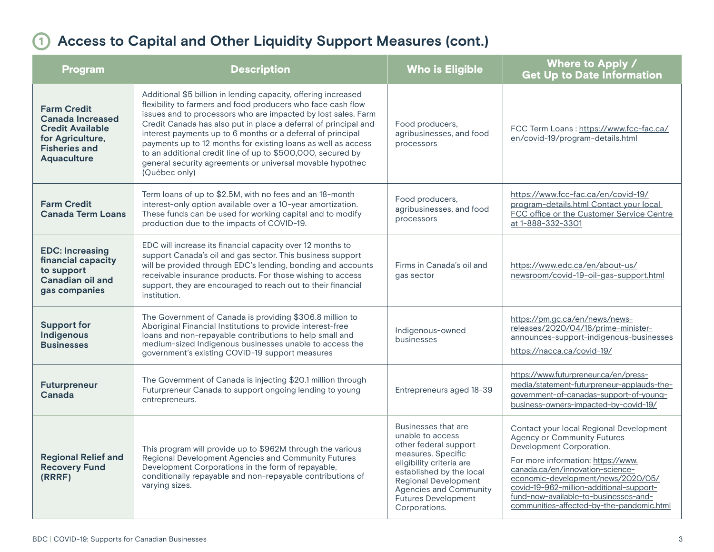## 1 **Access to Capital and Other Liquidity Support Measures (cont.)**

| <b>Program</b>                                                                                                                      | <b>Description</b>                                                                                                                                                                                                                                                                                                                                                                                                                                                                                                                              | <b>Who is Eligible</b>                                                                                                                                                                                                                                 | Where to Apply /<br><b>Get Up to Date Information</b>                                                                                                                                                                                                                                                                                                       |
|-------------------------------------------------------------------------------------------------------------------------------------|-------------------------------------------------------------------------------------------------------------------------------------------------------------------------------------------------------------------------------------------------------------------------------------------------------------------------------------------------------------------------------------------------------------------------------------------------------------------------------------------------------------------------------------------------|--------------------------------------------------------------------------------------------------------------------------------------------------------------------------------------------------------------------------------------------------------|-------------------------------------------------------------------------------------------------------------------------------------------------------------------------------------------------------------------------------------------------------------------------------------------------------------------------------------------------------------|
| <b>Farm Credit</b><br><b>Canada Increased</b><br><b>Credit Available</b><br>for Agriculture,<br><b>Fisheries and</b><br>Aquaculture | Additional \$5 billion in lending capacity, offering increased<br>flexibility to farmers and food producers who face cash flow<br>issues and to processors who are impacted by lost sales. Farm<br>Credit Canada has also put in place a deferral of principal and<br>interest payments up to 6 months or a deferral of principal<br>payments up to 12 months for existing loans as well as access<br>to an additional credit line of up to \$500,000, secured by<br>general security agreements or universal movable hypothec<br>(Québec only) | Food producers,<br>agribusinesses, and food<br>processors                                                                                                                                                                                              | FCC Term Loans: https://www.fcc-fac.ca/<br>en/covid-19/program-details.html                                                                                                                                                                                                                                                                                 |
| <b>Farm Credit</b><br><b>Canada Term Loans</b>                                                                                      | Term loans of up to \$2.5M, with no fees and an 18-month<br>interest-only option available over a 10-year amortization.<br>These funds can be used for working capital and to modify<br>production due to the impacts of COVID-19.                                                                                                                                                                                                                                                                                                              | Food producers,<br>agribusinesses, and food<br>processors                                                                                                                                                                                              | https://www.fcc-fac.ca/en/covid-19/<br>program-details.html Contact your local<br>FCC office or the Customer Service Centre<br>at 1-888-332-3301                                                                                                                                                                                                            |
| <b>EDC: Increasing</b><br>financial capacity<br>to support<br>Canadian oil and<br>gas companies                                     | EDC will increase its financial capacity over 12 months to<br>support Canada's oil and gas sector. This business support<br>will be provided through EDC's lending, bonding and accounts<br>receivable insurance products. For those wishing to access<br>support, they are encouraged to reach out to their financial<br>institution.                                                                                                                                                                                                          | Firms in Canada's oil and<br>gas sector                                                                                                                                                                                                                | https://www.edc.ca/en/about-us/<br>newsroom/covid-19-oil-gas-support.html                                                                                                                                                                                                                                                                                   |
| <b>Support for</b><br>Indigenous<br><b>Businesses</b>                                                                               | The Government of Canada is providing \$306.8 million to<br>Aboriginal Financial Institutions to provide interest-free<br>loans and non-repayable contributions to help small and<br>medium-sized Indigenous businesses unable to access the<br>government's existing COVID-19 support measures                                                                                                                                                                                                                                                 | Indigenous-owned<br>businesses                                                                                                                                                                                                                         | https://pm.gc.ca/en/news/news-<br>releases/2020/04/18/prime-minister-<br>announces-support-indigenous-businesses<br>https://nacca.ca/covid-19/                                                                                                                                                                                                              |
| <b>Futurpreneur</b><br>Canada                                                                                                       | The Government of Canada is injecting \$20.1 million through<br>Futurpreneur Canada to support ongoing lending to young<br>entrepreneurs.                                                                                                                                                                                                                                                                                                                                                                                                       | Entrepreneurs aged 18-39                                                                                                                                                                                                                               | https://www.futurpreneur.ca/en/press-<br>media/statement-futurpreneur-applauds-the-<br>government-of-canadas-support-of-young-<br>business-owners-impacted-by-covid-19/                                                                                                                                                                                     |
| <b>Regional Relief and</b><br><b>Recovery Fund</b><br>(RRRF)                                                                        | This program will provide up to \$962M through the various<br>Regional Development Agencies and Community Futures<br>Development Corporations in the form of repayable,<br>conditionally repayable and non-repayable contributions of<br>varying sizes.                                                                                                                                                                                                                                                                                         | Businesses that are<br>unable to access<br>other federal support<br>measures. Specific<br>eligibility criteria are<br>established by the local<br><b>Regional Development</b><br>Agencies and Community<br><b>Futures Development</b><br>Corporations. | Contact your local Regional Development<br><b>Agency or Community Futures</b><br>Development Corporation.<br>For more information: https://www.<br>canada.ca/en/innovation-science-<br>economic-development/news/2020/05/<br>covid-19-962-million-additional-support-<br>fund-now-available-to-businesses-and-<br>communities-affected-by-the-pandemic.html |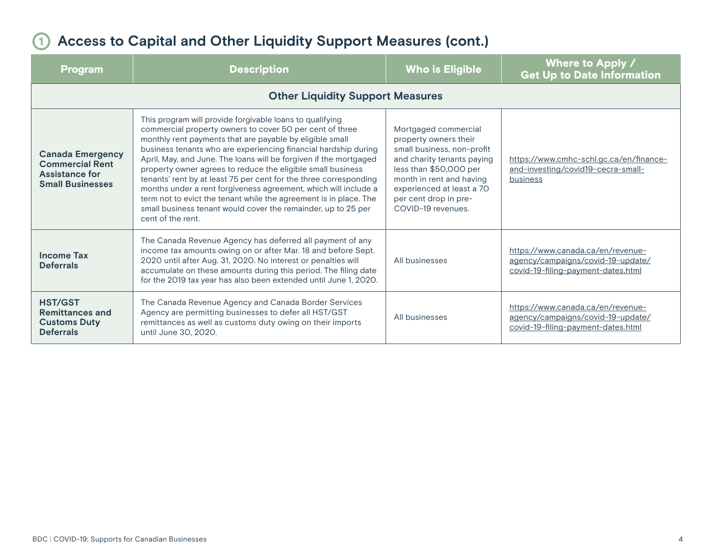#### 1 **Access to Capital and Other Liquidity Support Measures (cont.)**

| <b>Program</b>                                                                                                                                                                                                                                                                                                                                                              | <b>Description</b>                                                                                                                                                                                                                                                                                                                                                                                                                                                                                                                                                                                                                                                                         | <b>Who is Eligible</b>                                                                                                                                                                                                                      | Where to Apply /<br><b>Get Up to Date Information</b>                                                        |
|-----------------------------------------------------------------------------------------------------------------------------------------------------------------------------------------------------------------------------------------------------------------------------------------------------------------------------------------------------------------------------|--------------------------------------------------------------------------------------------------------------------------------------------------------------------------------------------------------------------------------------------------------------------------------------------------------------------------------------------------------------------------------------------------------------------------------------------------------------------------------------------------------------------------------------------------------------------------------------------------------------------------------------------------------------------------------------------|---------------------------------------------------------------------------------------------------------------------------------------------------------------------------------------------------------------------------------------------|--------------------------------------------------------------------------------------------------------------|
|                                                                                                                                                                                                                                                                                                                                                                             |                                                                                                                                                                                                                                                                                                                                                                                                                                                                                                                                                                                                                                                                                            |                                                                                                                                                                                                                                             |                                                                                                              |
| <b>Canada Emergency</b><br><b>Commercial Rent</b><br><b>Assistance for</b><br><b>Small Businesses</b>                                                                                                                                                                                                                                                                       | This program will provide forgivable loans to qualifying<br>commercial property owners to cover 50 per cent of three<br>monthly rent payments that are payable by eligible small<br>business tenants who are experiencing financial hardship during<br>April, May, and June. The loans will be forgiven if the mortgaged<br>property owner agrees to reduce the eligible small business<br>tenants' rent by at least 75 per cent for the three corresponding<br>months under a rent forgiveness agreement, which will include a<br>term not to evict the tenant while the agreement is in place. The<br>small business tenant would cover the remainder, up to 25 per<br>cent of the rent. | Mortgaged commercial<br>property owners their<br>small business, non-profit<br>and charity tenants paying<br>less than \$50,000 per<br>month in rent and having<br>experienced at least a 70<br>per cent drop in pre-<br>COVID-19 revenues. | https://www.cmhc-schl.gc.ca/en/finance-<br>and-investing/covid19-cecra-small-<br>business                    |
| The Canada Revenue Agency has deferred all payment of any<br>income tax amounts owing on or after Mar. 18 and before Sept.<br><b>Income Tax</b><br>2020 until after Aug. 31, 2020. No interest or penalties will<br><b>Deferrals</b><br>accumulate on these amounts during this period. The filing date<br>for the 2019 tax year has also been extended until June 1, 2020. |                                                                                                                                                                                                                                                                                                                                                                                                                                                                                                                                                                                                                                                                                            | All businesses                                                                                                                                                                                                                              | https://www.canada.ca/en/revenue-<br>agency/campaigns/covid-19-update/<br>covid-19-filing-payment-dates.html |
| <b>HST/GST</b><br><b>Remittances and</b><br><b>Customs Duty</b><br><b>Deferrals</b>                                                                                                                                                                                                                                                                                         | The Canada Revenue Agency and Canada Border Services<br>Agency are permitting businesses to defer all HST/GST<br>remittances as well as customs duty owing on their imports<br>until June 30, 2020.                                                                                                                                                                                                                                                                                                                                                                                                                                                                                        | All businesses                                                                                                                                                                                                                              | https://www.canada.ca/en/revenue-<br>agency/campaigns/covid-19-update/<br>covid-19-filing-payment-dates.html |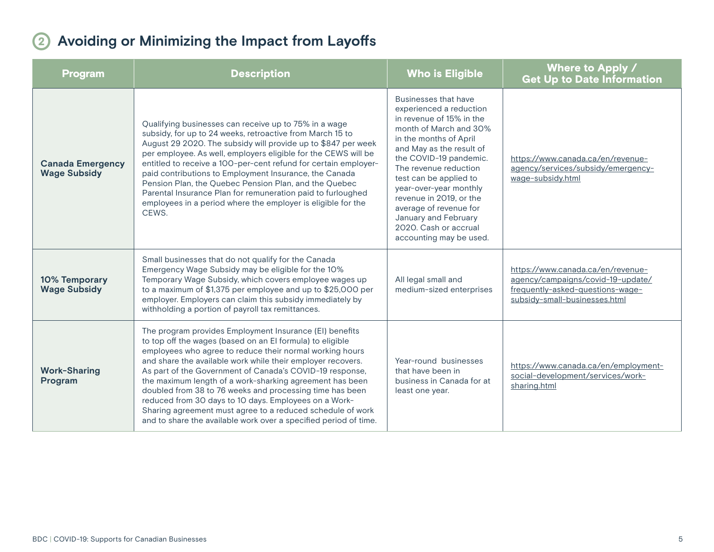### <span id="page-4-0"></span>2 **Avoiding or Minimizing the Impact from Layoffs**

| <b>Program</b>                                 | <b>Description</b>                                                                                                                                                                                                                                                                                                                                                                                                                                                                                                                                                                                                             | <b>Who is Eligible</b>                                                                                                                                                                                                                                                                                                                                                                              | Where to Apply /<br><b>Get Up to Date Information</b>                                                                                       |
|------------------------------------------------|--------------------------------------------------------------------------------------------------------------------------------------------------------------------------------------------------------------------------------------------------------------------------------------------------------------------------------------------------------------------------------------------------------------------------------------------------------------------------------------------------------------------------------------------------------------------------------------------------------------------------------|-----------------------------------------------------------------------------------------------------------------------------------------------------------------------------------------------------------------------------------------------------------------------------------------------------------------------------------------------------------------------------------------------------|---------------------------------------------------------------------------------------------------------------------------------------------|
| <b>Canada Emergency</b><br><b>Wage Subsidy</b> | Qualifying businesses can receive up to 75% in a wage<br>subsidy, for up to 24 weeks, retroactive from March 15 to<br>August 29 2020. The subsidy will provide up to \$847 per week<br>per employee. As well, employers eligible for the CEWS will be<br>entitled to receive a 100-per-cent refund for certain employer-<br>paid contributions to Employment Insurance, the Canada<br>Pension Plan, the Quebec Pension Plan, and the Quebec<br>Parental Insurance Plan for remuneration paid to furloughed<br>employees in a period where the employer is eligible for the<br>CEWS.                                            | Businesses that have<br>experienced a reduction<br>in revenue of 15% in the<br>month of March and 30%<br>in the months of April<br>and May as the result of<br>the COVID-19 pandemic.<br>The revenue reduction<br>test can be applied to<br>year-over-year monthly<br>revenue in 2019, or the<br>average of revenue for<br>January and February<br>2020. Cash or accrual<br>accounting may be used. | https://www.canada.ca/en/revenue-<br>agency/services/subsidy/emergency-<br>wage-subsidy.html                                                |
| 10% Temporary<br><b>Wage Subsidy</b>           | Small businesses that do not qualify for the Canada<br>Emergency Wage Subsidy may be eligible for the 10%<br>Temporary Wage Subsidy, which covers employee wages up<br>to a maximum of \$1,375 per employee and up to \$25,000 per<br>employer. Employers can claim this subsidy immediately by<br>withholding a portion of payroll tax remittances.                                                                                                                                                                                                                                                                           | All legal small and<br>medium-sized enterprises                                                                                                                                                                                                                                                                                                                                                     | https://www.canada.ca/en/revenue-<br>agency/campaigns/covid-19-update/<br>frequently-asked-questions-wage-<br>subsidy-small-businesses.html |
| <b>Work-Sharing</b><br>Program                 | The program provides Employment Insurance (EI) benefits<br>to top off the wages (based on an El formula) to eligible<br>employees who agree to reduce their normal working hours<br>and share the available work while their employer recovers.<br>As part of the Government of Canada's COVID-19 response,<br>the maximum length of a work-sharking agreement has been<br>doubled from 38 to 76 weeks and processing time has been<br>reduced from 30 days to 10 days. Employees on a Work-<br>Sharing agreement must agree to a reduced schedule of work<br>and to share the available work over a specified period of time. | Year-round businesses<br>that have been in<br>business in Canada for at<br>least one year.                                                                                                                                                                                                                                                                                                          | https://www.canada.ca/en/employment-<br>social-development/services/work-<br>sharing.html                                                   |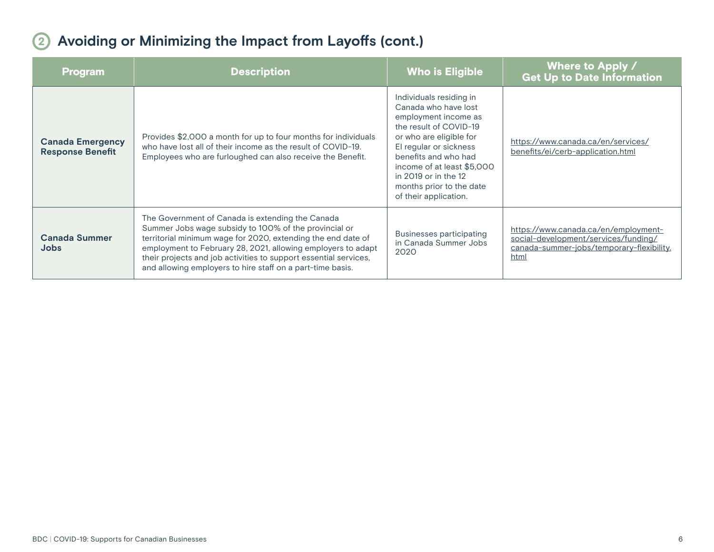### 2 **Avoiding or Minimizing the Impact from Layoffs (cont.)**

| <u>Pr</u> ogram                                    | <b>Description</b>                                                                                                                                                                                                                                                                                                                                                          | <b>Who is Eligible</b>                                                                                                                                                                                                                                                                    | Where to Apply /<br><b>Get Up to Date Information</b>                                                                             |
|----------------------------------------------------|-----------------------------------------------------------------------------------------------------------------------------------------------------------------------------------------------------------------------------------------------------------------------------------------------------------------------------------------------------------------------------|-------------------------------------------------------------------------------------------------------------------------------------------------------------------------------------------------------------------------------------------------------------------------------------------|-----------------------------------------------------------------------------------------------------------------------------------|
| <b>Canada Emergency</b><br><b>Response Benefit</b> | Provides \$2,000 a month for up to four months for individuals<br>who have lost all of their income as the result of COVID-19.<br>Employees who are furloughed can also receive the Benefit.                                                                                                                                                                                | Individuals residing in<br>Canada who have lost<br>employment income as<br>the result of COVID-19<br>or who are eligible for<br>El regular or sickness<br>benefits and who had<br>income of at least \$5,000<br>in 2019 or in the 12<br>months prior to the date<br>of their application. | https://www.canada.ca/en/services/<br>benefits/ei/cerb-application.html                                                           |
| <b>Canada Summer</b><br><b>Jobs</b>                | The Government of Canada is extending the Canada<br>Summer Jobs wage subsidy to 100% of the provincial or<br>territorial minimum wage for 2020, extending the end date of<br>employment to February 28, 2021, allowing employers to adapt<br>their projects and job activities to support essential services,<br>and allowing employers to hire staff on a part-time basis. | <b>Businesses participating</b><br>in Canada Summer Jobs<br>2020                                                                                                                                                                                                                          | https://www.canada.ca/en/employment-<br>social-development/services/funding/<br>canada-summer-jobs/temporary-flexibility.<br>html |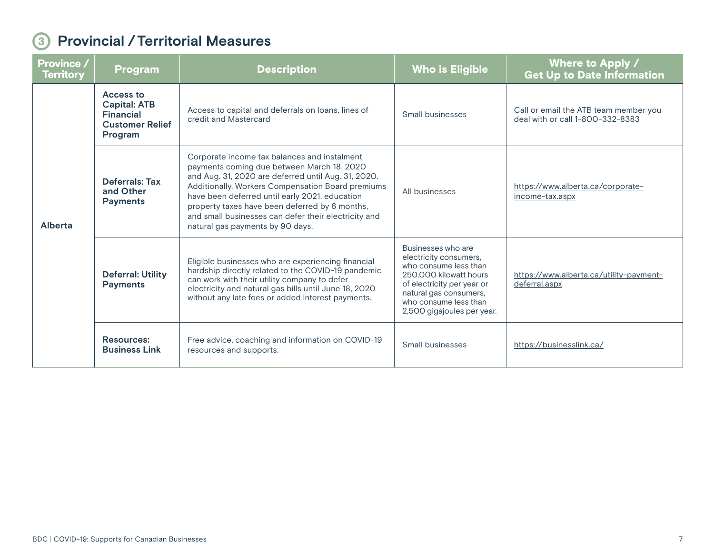#### <span id="page-6-0"></span>3 **Provincial /Territorial Measures**

| <b>Province /</b><br><b>Territory</b> | <b>Program</b>                                                                            | <b>Description</b>                                                                                                                                                                                                                                                                                                                                                                                     | <b>Who is Eligible</b>                                                                                                                                                                                         | Where to Apply /<br><b>Get Up to Date Information</b>                     |
|---------------------------------------|-------------------------------------------------------------------------------------------|--------------------------------------------------------------------------------------------------------------------------------------------------------------------------------------------------------------------------------------------------------------------------------------------------------------------------------------------------------------------------------------------------------|----------------------------------------------------------------------------------------------------------------------------------------------------------------------------------------------------------------|---------------------------------------------------------------------------|
| Alberta                               | Access to<br><b>Capital: ATB</b><br><b>Financial</b><br><b>Customer Relief</b><br>Program | Access to capital and deferrals on loans, lines of<br>credit and Mastercard                                                                                                                                                                                                                                                                                                                            | <b>Small businesses</b>                                                                                                                                                                                        | Call or email the ATB team member you<br>deal with or call 1-800-332-8383 |
|                                       | Deferrals: Tax<br>and Other<br><b>Payments</b>                                            | Corporate income tax balances and instalment<br>payments coming due between March 18, 2020<br>and Aug. 31, 2020 are deferred until Aug. 31, 2020.<br>Additionally, Workers Compensation Board premiums<br>have been deferred until early 2021, education<br>property taxes have been deferred by 6 months,<br>and small businesses can defer their electricity and<br>natural gas payments by 90 days. | All businesses                                                                                                                                                                                                 | https://www.alberta.ca/corporate-<br>income-tax.aspx                      |
|                                       | <b>Deferral: Utility</b><br><b>Payments</b>                                               | Eligible businesses who are experiencing financial<br>hardship directly related to the COVID-19 pandemic<br>can work with their utility company to defer<br>electricity and natural gas bills until June 18, 2020<br>without any late fees or added interest payments.                                                                                                                                 | Businesses who are<br>electricity consumers,<br>who consume less than<br>250,000 kilowatt hours<br>of electricity per year or<br>natural gas consumers,<br>who consume less than<br>2,500 gigajoules per year. | https://www.alberta.ca/utility-payment-<br>deferral.aspx                  |
|                                       | <b>Resources:</b><br><b>Business Link</b>                                                 | Free advice, coaching and information on COVID-19<br>resources and supports.                                                                                                                                                                                                                                                                                                                           | Small businesses                                                                                                                                                                                               | https://businesslink.ca/                                                  |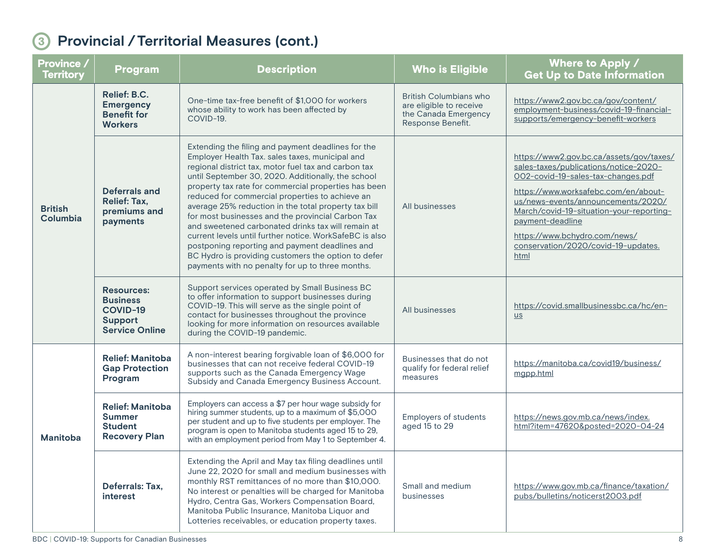| Province /<br><b>Territory</b> | Program                                                                              | <b>Description</b>                                                                                                                                                                                                                                                                                                                                                                                                                                                                                                                                                                                                                                                                                                        | <b>Who is Eligible</b>                                                                                | Where to Apply /<br><b>Get Up to Date Information</b>                                                                                                                                                                                                                                                                                                 |
|--------------------------------|--------------------------------------------------------------------------------------|---------------------------------------------------------------------------------------------------------------------------------------------------------------------------------------------------------------------------------------------------------------------------------------------------------------------------------------------------------------------------------------------------------------------------------------------------------------------------------------------------------------------------------------------------------------------------------------------------------------------------------------------------------------------------------------------------------------------------|-------------------------------------------------------------------------------------------------------|-------------------------------------------------------------------------------------------------------------------------------------------------------------------------------------------------------------------------------------------------------------------------------------------------------------------------------------------------------|
| <b>British</b><br>Columbia     | Relief: B.C.<br><b>Emergency</b><br><b>Benefit for</b><br><b>Workers</b>             | One-time tax-free benefit of \$1,000 for workers<br>whose ability to work has been affected by<br>COVID-19.                                                                                                                                                                                                                                                                                                                                                                                                                                                                                                                                                                                                               | <b>British Columbians who</b><br>are eligible to receive<br>the Canada Emergency<br>Response Benefit. | https://www2.gov.bc.ca/gov/content/<br>employment-business/covid-19-financial-<br>supports/emergency-benefit-workers                                                                                                                                                                                                                                  |
|                                | <b>Deferrals and</b><br><b>Relief: Tax,</b><br>premiums and<br>payments              | Extending the filing and payment deadlines for the<br>Employer Health Tax. sales taxes, municipal and<br>regional district tax, motor fuel tax and carbon tax<br>until September 30, 2020. Additionally, the school<br>property tax rate for commercial properties has been<br>reduced for commercial properties to achieve an<br>average 25% reduction in the total property tax bill<br>for most businesses and the provincial Carbon Tax<br>and sweetened carbonated drinks tax will remain at<br>current levels until further notice. WorkSafeBC is also<br>postponing reporting and payment deadlines and<br>BC Hydro is providing customers the option to defer<br>payments with no penalty for up to three months. | All businesses                                                                                        | https://www2.gov.bc.ca/assets/gov/taxes/<br>sales-taxes/publications/notice-2020-<br>002-covid-19-sales-tax-changes.pdf<br>https://www.worksafebc.com/en/about-<br>us/news-events/announcements/2020/<br>March/covid-19-situation-your-reporting-<br>payment-deadline<br>https://www.bchydro.com/news/<br>conservation/2020/covid-19-updates.<br>html |
|                                | <b>Resources:</b><br><b>Business</b><br>COVID-19<br>Support<br><b>Service Online</b> | Support services operated by Small Business BC<br>to offer information to support businesses during<br>COVID-19. This will serve as the single point of<br>contact for businesses throughout the province<br>looking for more information on resources available<br>during the COVID-19 pandemic.                                                                                                                                                                                                                                                                                                                                                                                                                         | All businesses                                                                                        | https://covid.smallbusinessbc.ca/hc/en-<br>US                                                                                                                                                                                                                                                                                                         |
| <b>Manitoba</b>                | <b>Relief: Manitoba</b><br><b>Gap Protection</b><br>Program                          | A non-interest bearing forgivable loan of \$6,000 for<br>businesses that can not receive federal COVID-19<br>supports such as the Canada Emergency Wage<br>Subsidy and Canada Emergency Business Account.                                                                                                                                                                                                                                                                                                                                                                                                                                                                                                                 | Businesses that do not<br>qualify for federal relief<br>measures                                      | https://manitoba.ca/covid19/business/<br>mgpp.html                                                                                                                                                                                                                                                                                                    |
|                                | <b>Relief: Manitoba</b><br><b>Summer</b><br><b>Student</b><br><b>Recovery Plan</b>   | Employers can access a \$7 per hour wage subsidy for<br>hiring summer students, up to a maximum of \$5,000<br>per student and up to five students per employer. The<br>program is open to Manitoba students aged 15 to 29,<br>with an employment period from May 1 to September 4.                                                                                                                                                                                                                                                                                                                                                                                                                                        | <b>Employers of students</b><br>aged 15 to 29                                                         | https://news.gov.mb.ca/news/index.<br>html?item=47620&posted=2020-04-24                                                                                                                                                                                                                                                                               |
|                                | Deferrals: Tax,<br>interest                                                          | Extending the April and May tax filing deadlines until<br>June 22, 2020 for small and medium businesses with<br>monthly RST remittances of no more than \$10,000.<br>No interest or penalties will be charged for Manitoba<br>Hydro, Centra Gas, Workers Compensation Board,<br>Manitoba Public Insurance, Manitoba Liquor and<br>Lotteries receivables, or education property taxes.                                                                                                                                                                                                                                                                                                                                     | Small and medium<br>businesses                                                                        | https://www.gov.mb.ca/finance/taxation/<br>pubs/bulletins/noticerst2003.pdf                                                                                                                                                                                                                                                                           |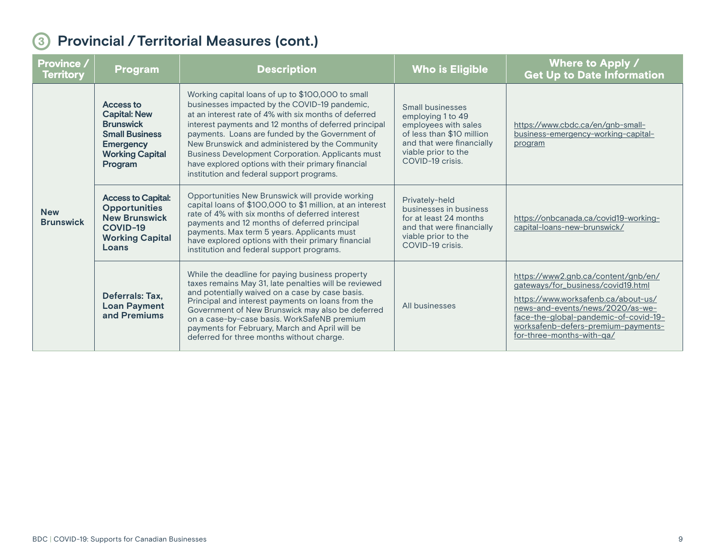| <b>Province /</b><br><b>Territory</b> | <b>Program</b>                                                                                                                                | <b>Description</b>                                                                                                                                                                                                                                                                                                                                                                                                                                                                        | <b>Who is Eligible</b>                                                                                                                                             | Where to Apply /<br><b>Get Up to Date Information</b>                                                                                                                                                                                                             |
|---------------------------------------|-----------------------------------------------------------------------------------------------------------------------------------------------|-------------------------------------------------------------------------------------------------------------------------------------------------------------------------------------------------------------------------------------------------------------------------------------------------------------------------------------------------------------------------------------------------------------------------------------------------------------------------------------------|--------------------------------------------------------------------------------------------------------------------------------------------------------------------|-------------------------------------------------------------------------------------------------------------------------------------------------------------------------------------------------------------------------------------------------------------------|
| <b>New</b><br><b>Brunswick</b>        | <b>Access to</b><br><b>Capital: New</b><br><b>Brunswick</b><br><b>Small Business</b><br><b>Emergency</b><br><b>Working Capital</b><br>Program | Working capital loans of up to \$100,000 to small<br>businesses impacted by the COVID-19 pandemic,<br>at an interest rate of 4% with six months of deferred<br>interest payments and 12 months of deferred principal<br>payments. Loans are funded by the Government of<br>New Brunswick and administered by the Community<br><b>Business Development Corporation. Applicants must</b><br>have explored options with their primary financial<br>institution and federal support programs. | Small businesses<br>employing 1 to 49<br>employees with sales<br>of less than \$10 million<br>and that were financially<br>viable prior to the<br>COVID-19 crisis. | https://www.cbdc.ca/en/gnb-small-<br>business-emergency-working-capital-<br>program                                                                                                                                                                               |
|                                       | <b>Access to Capital:</b><br><b>Opportunities</b><br><b>New Brunswick</b><br>COVID-19<br><b>Working Capital</b><br>Loans                      | Opportunities New Brunswick will provide working<br>capital loans of \$100,000 to \$1 million, at an interest<br>rate of 4% with six months of deferred interest<br>payments and 12 months of deferred principal<br>payments. Max term 5 years. Applicants must<br>have explored options with their primary financial<br>institution and federal support programs.                                                                                                                        | Privately-held<br>businesses in business<br>for at least 24 months<br>and that were financially<br>viable prior to the<br>COVID-19 crisis.                         | https://onbcanada.ca/covid19-working-<br>capital-loans-new-brunswick/                                                                                                                                                                                             |
|                                       | Deferrals: Tax,<br><b>Loan Payment</b><br>and Premiums                                                                                        | While the deadline for paying business property<br>taxes remains May 31, late penalties will be reviewed<br>and potentially waived on a case by case basis.<br>Principal and interest payments on loans from the<br>Government of New Brunswick may also be deferred<br>on a case-by-case basis. WorkSafeNB premium<br>payments for February, March and April will be<br>deferred for three months without charge.                                                                        | All businesses                                                                                                                                                     | https://www2.gnb.ca/content/gnb/en/<br>gateways/for_business/covid19.html<br>https://www.worksafenb.ca/about-us/<br>news-and-events/news/2020/as-we-<br>face-the-global-pandemic-of-covid-19-<br>worksafenb-defers-premium-payments-<br>for-three-months-with-ga/ |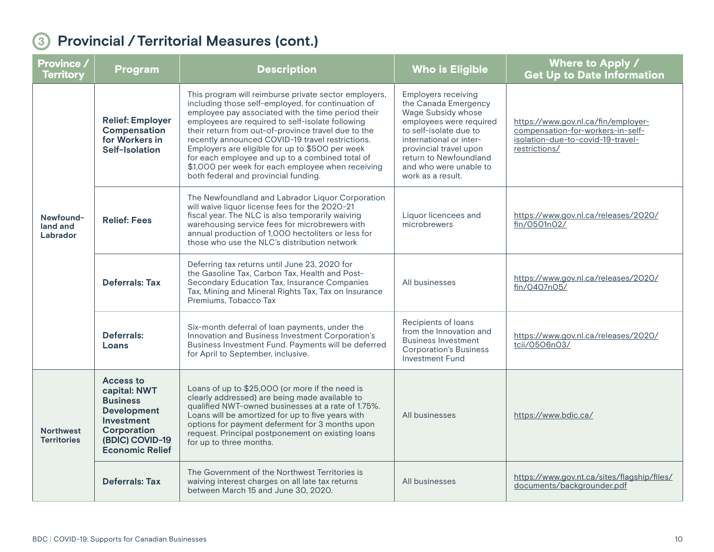| Province /<br><b>Territory</b>         | <b>Program</b>                                                                                                                                             | <b>Description</b>                                                                                                                                                                                                                                                                                                                                                                                                                                                                                                                  | <b>Who is Eligible</b>                                                                                                                                                                                                                                      | Where to Apply /<br><b>Get Up to Date Information</b>                                                                          |
|----------------------------------------|------------------------------------------------------------------------------------------------------------------------------------------------------------|-------------------------------------------------------------------------------------------------------------------------------------------------------------------------------------------------------------------------------------------------------------------------------------------------------------------------------------------------------------------------------------------------------------------------------------------------------------------------------------------------------------------------------------|-------------------------------------------------------------------------------------------------------------------------------------------------------------------------------------------------------------------------------------------------------------|--------------------------------------------------------------------------------------------------------------------------------|
| Newfound-<br>land and<br>Labrador      | <b>Relief: Employer</b><br>Compensation<br>for Workers in<br>Self-Isolation                                                                                | This program will reimburse private sector employers,<br>including those self-employed, for continuation of<br>employee pay associated with the time period their<br>employees are required to self-isolate following<br>their return from out-of-province travel due to the<br>recently announced COVID-19 travel restrictions.<br>Employers are eligible for up to \$500 per week<br>for each employee and up to a combined total of<br>\$1,000 per week for each employee when receiving<br>both federal and provincial funding. | <b>Employers receiving</b><br>the Canada Emergency<br>Wage Subsidy whose<br>employees were required<br>to self-isolate due to<br>international or inter-<br>provincial travel upon<br>return to Newfoundland<br>and who were unable to<br>work as a result. | https://www.gov.nl.ca/fin/employer-<br>compensation-for-workers-in-self-<br>isolation-due-to-covid-19-travel-<br>restrictions/ |
|                                        | <b>Relief: Fees</b>                                                                                                                                        | The Newfoundland and Labrador Liquor Corporation<br>will waive liquor license fees for the 2020-21<br>fiscal year. The NLC is also temporarily waiving<br>warehousing service fees for microbrewers with<br>annual production of 1,000 hectoliters or less for<br>those who use the NLC's distribution network                                                                                                                                                                                                                      | Liquor licencees and<br>microbrewers                                                                                                                                                                                                                        | https://www.gov.nl.ca/releases/2020/<br>fin/0501n02/                                                                           |
|                                        | <b>Deferrals: Tax</b>                                                                                                                                      | Deferring tax returns until June 23, 2020 for<br>the Gasoline Tax, Carbon Tax, Health and Post-<br>Secondary Education Tax, Insurance Companies<br>Tax, Mining and Mineral Rights Tax, Tax on Insurance<br>Premiums, Tobacco Tax                                                                                                                                                                                                                                                                                                    | All businesses                                                                                                                                                                                                                                              | https://www.gov.nl.ca/releases/2020/<br>fin/0407n05/                                                                           |
|                                        | <b>Deferrals:</b><br>Loans                                                                                                                                 | Six-month deferral of loan payments, under the<br>Innovation and Business Investment Corporation's<br>Business Investment Fund. Payments will be deferred<br>for April to September, inclusive.                                                                                                                                                                                                                                                                                                                                     | Recipients of loans<br>from the Innovation and<br><b>Business Investment</b><br><b>Corporation's Business</b><br><b>Investment Fund</b>                                                                                                                     | https://www.gov.nl.ca/releases/2020/<br>tcii/0506n03/                                                                          |
| <b>Northwest</b><br><b>Territories</b> | <b>Access to</b><br>capital: NWT<br><b>Business</b><br><b>Development</b><br><b>Investment</b><br>Corporation<br>(BDIC) COVID-19<br><b>Economic Relief</b> | Loans of up to \$25,000 (or more if the need is<br>clearly addressed) are being made available to<br>qualified NWT-owned businesses at a rate of 1.75%.<br>Loans will be amortized for up to five years with<br>options for payment deferment for 3 months upon<br>request. Principal postponement on existing loans<br>for up to three months.                                                                                                                                                                                     | All businesses                                                                                                                                                                                                                                              | https://www.bdic.ca/                                                                                                           |
|                                        | <b>Deferrals: Tax</b>                                                                                                                                      | The Government of the Northwest Territories is<br>waiving interest charges on all late tax returns<br>between March 15 and June 30, 2020.                                                                                                                                                                                                                                                                                                                                                                                           | All businesses                                                                                                                                                                                                                                              | https://www.gov.nt.ca/sites/flagship/files/<br>documents/backgrounder.pdf                                                      |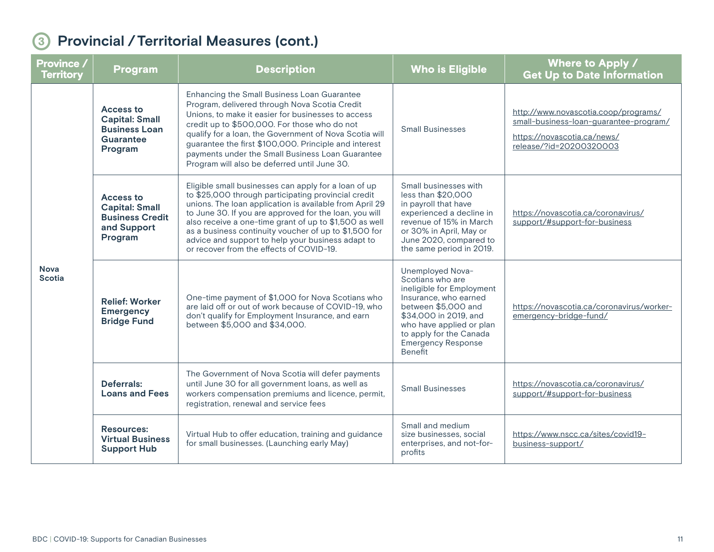| <b>Province</b> /<br><b>Territory</b> | Program                                                                                | <b>Description</b>                                                                                                                                                                                                                                                                                                                                                                                                                                   | <b>Who is Eligible</b>                                                                                                                                                                                                                    | Where to Apply /<br><b>Get Up to Date Information</b>                                                                                    |
|---------------------------------------|----------------------------------------------------------------------------------------|------------------------------------------------------------------------------------------------------------------------------------------------------------------------------------------------------------------------------------------------------------------------------------------------------------------------------------------------------------------------------------------------------------------------------------------------------|-------------------------------------------------------------------------------------------------------------------------------------------------------------------------------------------------------------------------------------------|------------------------------------------------------------------------------------------------------------------------------------------|
| <b>Nova</b><br><b>Scotia</b>          | Access to<br><b>Capital: Small</b><br><b>Business Loan</b><br>Guarantee<br>Program     | Enhancing the Small Business Loan Guarantee<br>Program, delivered through Nova Scotia Credit<br>Unions, to make it easier for businesses to access<br>credit up to \$500,000. For those who do not<br>qualify for a loan, the Government of Nova Scotia will<br>guarantee the first \$100,000. Principle and interest<br>payments under the Small Business Loan Guarantee<br>Program will also be deferred until June 30.                            | <b>Small Businesses</b>                                                                                                                                                                                                                   | http://www.novascotia.coop/programs/<br>small-business-loan-guarantee-program/<br>https://novascotia.ca/news/<br>release/?id=20200320003 |
|                                       | Access to<br><b>Capital: Small</b><br><b>Business Credit</b><br>and Support<br>Program | Eligible small businesses can apply for a loan of up<br>to \$25,000 through participating provincial credit<br>unions. The loan application is available from April 29<br>to June 30. If you are approved for the loan, you will<br>also receive a one-time grant of up to \$1,500 as well<br>as a business continuity voucher of up to \$1,500 for<br>advice and support to help your business adapt to<br>or recover from the effects of COVID-19. | Small businesses with<br>less than \$20,000<br>in payroll that have<br>experienced a decline in<br>revenue of 15% in March<br>or 30% in April, May or<br>June 2020, compared to<br>the same period in 2019.                               | https://novascotia.ca/coronavirus/<br>support/#support-for-business                                                                      |
|                                       | <b>Relief: Worker</b><br><b>Emergency</b><br><b>Bridge Fund</b>                        | One-time payment of \$1,000 for Nova Scotians who<br>are laid off or out of work because of COVID-19, who<br>don't qualify for Employment Insurance, and earn<br>between \$5,000 and \$34,000.                                                                                                                                                                                                                                                       | Unemployed Nova-<br>Scotians who are<br>ineligible for Employment<br>Insurance, who earned<br>between \$5,000 and<br>\$34,000 in 2019, and<br>who have applied or plan<br>to apply for the Canada<br><b>Emergency Response</b><br>Benefit | https://novascotia.ca/coronavirus/worker-<br>emergency-bridge-fund/                                                                      |
|                                       | Deferrals:<br><b>Loans and Fees</b>                                                    | The Government of Nova Scotia will defer payments<br>until June 30 for all government loans, as well as<br>workers compensation premiums and licence, permit,<br>registration, renewal and service fees                                                                                                                                                                                                                                              | <b>Small Businesses</b>                                                                                                                                                                                                                   | https://novascotia.ca/coronavirus/<br>support/#support-for-business                                                                      |
|                                       | <b>Resources:</b><br><b>Virtual Business</b><br><b>Support Hub</b>                     | Virtual Hub to offer education, training and guidance<br>for small businesses. (Launching early May)                                                                                                                                                                                                                                                                                                                                                 | Small and medium<br>size businesses, social<br>enterprises, and not-for-<br>profits                                                                                                                                                       | https://www.nscc.ca/sites/covid19-<br>business-support/                                                                                  |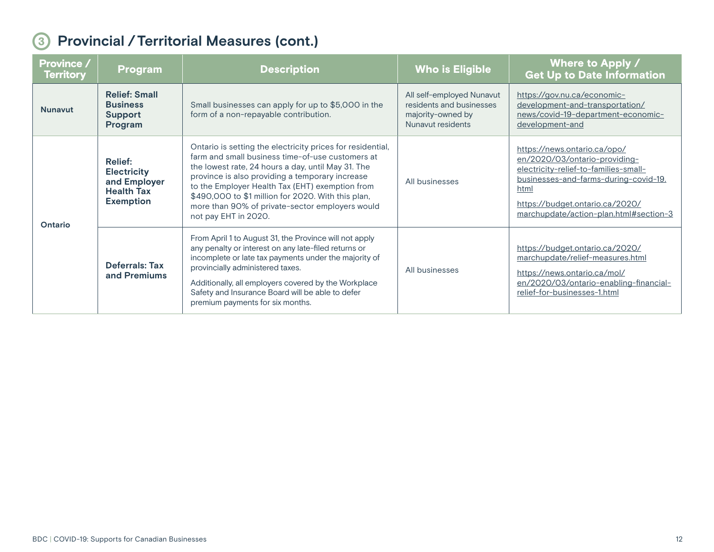| <b>Province /</b><br><b>Territory</b> | <b>Program</b>                                                                                | <b>Description</b>                                                                                                                                                                                                                                                                                                                                                                                          | <b>Who is Eligible</b>                                                                          | Where to Apply /<br><b>Get Up to Date Information</b>                                                                                                                                                                                |
|---------------------------------------|-----------------------------------------------------------------------------------------------|-------------------------------------------------------------------------------------------------------------------------------------------------------------------------------------------------------------------------------------------------------------------------------------------------------------------------------------------------------------------------------------------------------------|-------------------------------------------------------------------------------------------------|--------------------------------------------------------------------------------------------------------------------------------------------------------------------------------------------------------------------------------------|
| <b>Nunavut</b>                        | <b>Relief: Small</b><br><b>Business</b><br>Support<br>Program                                 | Small businesses can apply for up to \$5,000 in the<br>form of a non-repayable contribution.                                                                                                                                                                                                                                                                                                                | All self-employed Nunavut<br>residents and businesses<br>majority-owned by<br>Nunavut residents | https://gov.nu.ca/economic-<br>development-and-transportation/<br>news/covid-19-department-economic-<br>development-and                                                                                                              |
| Ontario                               | <b>Relief:</b><br><b>Electricity</b><br>and Employer<br><b>Health Tax</b><br><b>Exemption</b> | Ontario is setting the electricity prices for residential,<br>farm and small business time-of-use customers at<br>the lowest rate, 24 hours a day, until May 31. The<br>province is also providing a temporary increase<br>to the Employer Health Tax (EHT) exemption from<br>\$490,000 to \$1 million for 2020. With this plan,<br>more than 90% of private-sector employers would<br>not pay EHT in 2020. | All businesses                                                                                  | https://news.ontario.ca/opo/<br>en/2020/03/ontario-providing-<br>electricity-relief-to-families-small-<br>businesses-and-farms-during-covid-19.<br>html<br>https://budget.ontario.ca/2020/<br>marchupdate/action-plan.html#section-3 |
|                                       | <b>Deferrals: Tax</b><br>and Premiums                                                         | From April 1 to August 31, the Province will not apply<br>any penalty or interest on any late-filed returns or<br>incomplete or late tax payments under the majority of<br>provincially administered taxes.<br>Additionally, all employers covered by the Workplace<br>Safety and Insurance Board will be able to defer<br>premium payments for six months.                                                 | All businesses                                                                                  | https://budget.ontario.ca/2020/<br>marchupdate/relief-measures.html<br>https://news.ontario.ca/mol/<br>en/2020/03/ontario-enabling-financial-<br>relief-for-businesses-1.html                                                        |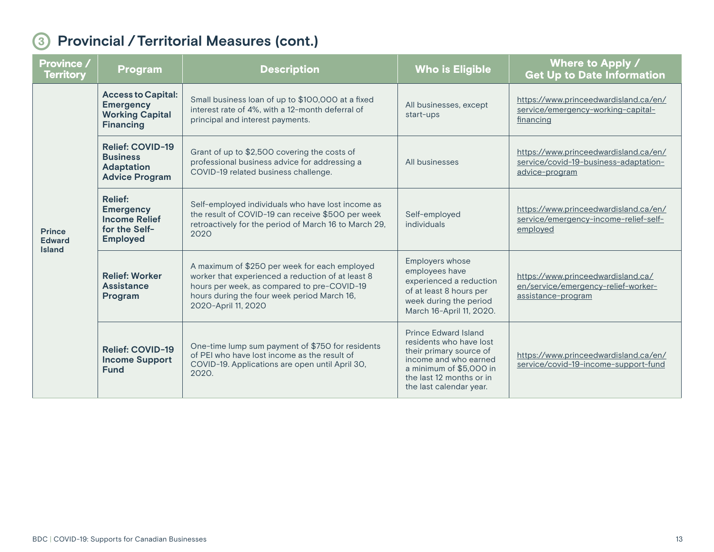| Province /<br><b>Territory</b>                  | <b>Program</b>                                                                                 | <b>Description</b>                                                                                                                                                                                                      | <b>Who is Eligible</b>                                                                                                                                                                | Where to Apply /<br><b>Get Up to Date Information</b>                                            |
|-------------------------------------------------|------------------------------------------------------------------------------------------------|-------------------------------------------------------------------------------------------------------------------------------------------------------------------------------------------------------------------------|---------------------------------------------------------------------------------------------------------------------------------------------------------------------------------------|--------------------------------------------------------------------------------------------------|
| <b>Prince</b><br><b>Edward</b><br><b>Island</b> | <b>Access to Capital:</b><br><b>Emergency</b><br><b>Working Capital</b><br><b>Financing</b>    | Small business loan of up to \$100,000 at a fixed<br>interest rate of 4%, with a 12-month deferral of<br>principal and interest payments.                                                                               | All businesses, except<br>start-ups                                                                                                                                                   | https://www.princeedwardisland.ca/en/<br>service/emergency-working-capital-<br>financing         |
|                                                 | <b>Relief: COVID-19</b><br><b>Business</b><br><b>Adaptation</b><br><b>Advice Program</b>       | Grant of up to \$2,500 covering the costs of<br>professional business advice for addressing a<br>COVID-19 related business challenge.                                                                                   | All businesses                                                                                                                                                                        | https://www.princeedwardisland.ca/en/<br>service/covid-19-business-adaptation-<br>advice-program |
|                                                 | <b>Relief:</b><br><b>Emergency</b><br><b>Income Relief</b><br>for the Self-<br><b>Employed</b> | Self-employed individuals who have lost income as<br>the result of COVID-19 can receive \$500 per week<br>retroactively for the period of March 16 to March 29,<br>2020                                                 | Self-employed<br>individuals                                                                                                                                                          | https://www.princeedwardisland.ca/en/<br>service/emergency-income-relief-self-<br>employed       |
|                                                 | <b>Relief: Worker</b><br>Assistance<br>Program                                                 | A maximum of \$250 per week for each employed<br>worker that experienced a reduction of at least 8<br>hours per week, as compared to pre-COVID-19<br>hours during the four week period March 16,<br>2020-April 11, 2020 | Employers whose<br>employees have<br>experienced a reduction<br>of at least 8 hours per<br>week during the period<br>March 16-April 11, 2020.                                         | https://www.princeedwardisland.ca/<br>en/service/emergency-relief-worker-<br>assistance-program  |
|                                                 | <b>Relief: COVID-19</b><br><b>Income Support</b><br><b>Fund</b>                                | One-time lump sum payment of \$750 for residents<br>of PEI who have lost income as the result of<br>COVID-19. Applications are open until April 30,<br>2020.                                                            | Prince Edward Island<br>residents who have lost<br>their primary source of<br>income and who earned<br>a minimum of \$5,000 in<br>the last 12 months or in<br>the last calendar year. | https://www.princeedwardisland.ca/en/<br>service/covid-19-income-support-fund                    |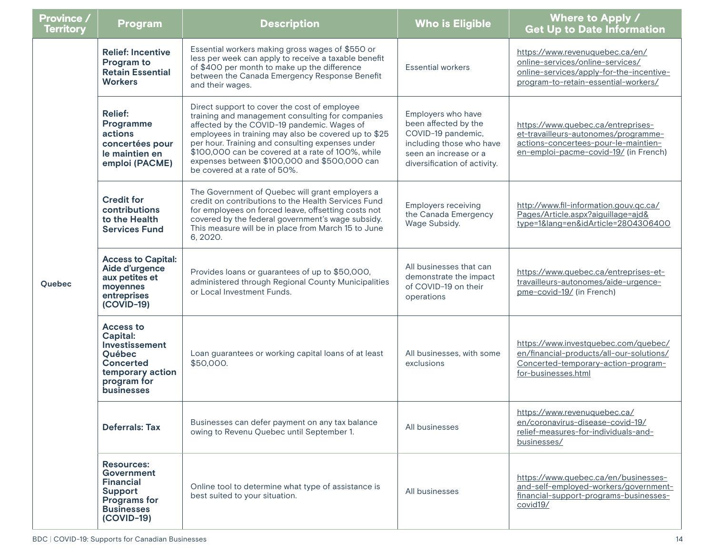| <b>Province /</b><br><b>Territory</b> | <b>Program</b>                                                                                                                       | <b>Description</b>                                                                                                                                                                                                                                                                                                                                                                               | <b>Who is Eligible</b>                                                                                                                                | Where to Apply /<br><b>Get Up to Date Information</b>                                                                                                       |
|---------------------------------------|--------------------------------------------------------------------------------------------------------------------------------------|--------------------------------------------------------------------------------------------------------------------------------------------------------------------------------------------------------------------------------------------------------------------------------------------------------------------------------------------------------------------------------------------------|-------------------------------------------------------------------------------------------------------------------------------------------------------|-------------------------------------------------------------------------------------------------------------------------------------------------------------|
| Quebec                                | <b>Relief: Incentive</b><br>Program to<br><b>Retain Essential</b><br><b>Workers</b>                                                  | Essential workers making gross wages of \$550 or<br>less per week can apply to receive a taxable benefit<br>of \$400 per month to make up the difference<br>between the Canada Emergency Response Benefit<br>and their wages.                                                                                                                                                                    | <b>Essential workers</b>                                                                                                                              | https://www.revenuquebec.ca/en/<br>online-services/online-services/<br>online-services/apply-for-the-incentive-<br>program-to-retain-essential-workers/     |
|                                       | <b>Relief:</b><br>Programme<br>actions<br>concertées pour<br>le maintien en<br>emploi (PACME)                                        | Direct support to cover the cost of employee<br>training and management consulting for companies<br>affected by the COVID-19 pandemic. Wages of<br>employees in training may also be covered up to \$25<br>per hour. Training and consulting expenses under<br>\$100,000 can be covered at a rate of 100%, while<br>expenses between \$100,000 and \$500,000 can<br>be covered at a rate of 50%. | Employers who have<br>been affected by the<br>COVID-19 pandemic,<br>including those who have<br>seen an increase or a<br>diversification of activity. | https://www.quebec.ca/entreprises-<br>et-travailleurs-autonomes/programme-<br>actions-concertees-pour-le-maintien-<br>en-emploi-pacme-covid-19/ (in French) |
|                                       | <b>Credit for</b><br>contributions<br>to the Health<br><b>Services Fund</b>                                                          | The Government of Quebec will grant employers a<br>credit on contributions to the Health Services Fund<br>for employees on forced leave, offsetting costs not<br>covered by the federal government's wage subsidy.<br>This measure will be in place from March 15 to June<br>6, 2020.                                                                                                            | <b>Employers receiving</b><br>the Canada Emergency<br>Wage Subsidy.                                                                                   | http://www.fil-information.gouv.gc.ca/<br>Pages/Article.aspx?aiguillage=ajd&<br>type=1⟨=en&idArticle=2804306400                                             |
|                                       | <b>Access to Capital:</b><br>Aide d'urgence<br>aux petites et<br>moyennes<br>entreprises<br>$(COVID-19)$                             | Provides loans or guarantees of up to \$50,000,<br>administered through Regional County Municipalities<br>or Local Investment Funds.                                                                                                                                                                                                                                                             | All businesses that can<br>demonstrate the impact<br>of COVID-19 on their<br>operations                                                               | https://www.quebec.ca/entreprises-et-<br>travailleurs-autonomes/aide-urgence-<br>pme-covid-19/ (in French)                                                  |
|                                       | <b>Access to</b><br>Capital:<br>Investissement<br>Québec<br><b>Concerted</b><br>temporary action<br>program for<br><b>businesses</b> | Loan guarantees or working capital loans of at least<br>\$50,000.                                                                                                                                                                                                                                                                                                                                | All businesses, with some<br>exclusions                                                                                                               | https://www.investquebec.com/quebec/<br>en/financial-products/all-our-solutions/<br>Concerted-temporary-action-program-<br>for-businesses.html              |
|                                       | <b>Deferrals: Tax</b>                                                                                                                | Businesses can defer payment on any tax balance<br>owing to Revenu Quebec until September 1.                                                                                                                                                                                                                                                                                                     | All businesses                                                                                                                                        | https://www.revenuquebec.ca/<br>en/coronavirus-disease-covid-19/<br>relief-measures-for-individuals-and-<br>businesses/                                     |
|                                       | <b>Resources:</b><br>Government<br><b>Financial</b><br>Support<br>Programs for<br><b>Businesses</b><br>$(COVID-19)$                  | Online tool to determine what type of assistance is<br>best suited to your situation.                                                                                                                                                                                                                                                                                                            | All businesses                                                                                                                                        | https://www.quebec.ca/en/businesses-<br>and-self-employed-workers/government-<br>financial-support-programs-businesses-<br>covid19/                         |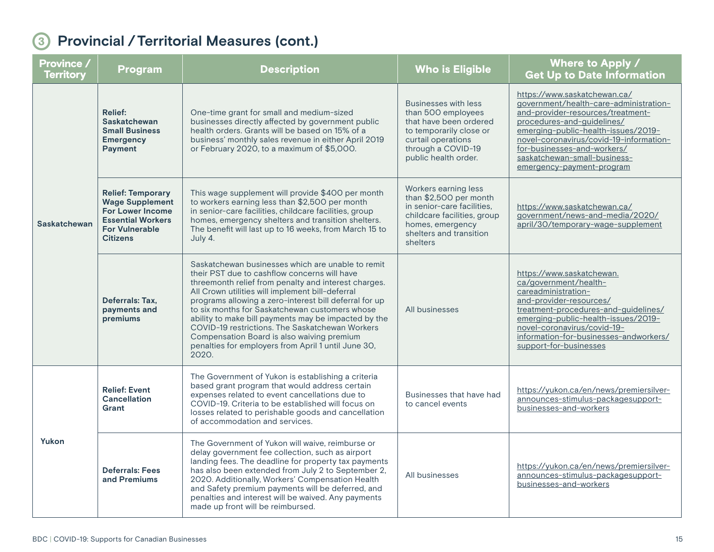| <b>Province /</b><br><b>Territory</b> | <b>Program</b>                                                                                                                                        | <b>Description</b>                                                                                                                                                                                                                                                                                                                                                                                                                                                                                                                                 | <b>Who is Eligible</b>                                                                                                                                                     | Where to Apply /<br><b>Get Up to Date Information</b>                                                                                                                                                                                                                                                                   |
|---------------------------------------|-------------------------------------------------------------------------------------------------------------------------------------------------------|----------------------------------------------------------------------------------------------------------------------------------------------------------------------------------------------------------------------------------------------------------------------------------------------------------------------------------------------------------------------------------------------------------------------------------------------------------------------------------------------------------------------------------------------------|----------------------------------------------------------------------------------------------------------------------------------------------------------------------------|-------------------------------------------------------------------------------------------------------------------------------------------------------------------------------------------------------------------------------------------------------------------------------------------------------------------------|
| <b>Saskatchewan</b>                   | <b>Relief:</b><br>Saskatchewan<br><b>Small Business</b><br><b>Emergency</b><br><b>Payment</b>                                                         | One-time grant for small and medium-sized<br>businesses directly affected by government public<br>health orders. Grants will be based on 15% of a<br>business' monthly sales revenue in either April 2019<br>or February 2020, to a maximum of \$5,000.                                                                                                                                                                                                                                                                                            | <b>Businesses with less</b><br>than 500 employees<br>that have been ordered<br>to temporarily close or<br>curtail operations<br>through a COVID-19<br>public health order. | https://www.saskatchewan.ca/<br>government/health-care-administration-<br>and-provider-resources/treatment-<br>procedures-and-guidelines/<br>emerging-public-health-issues/2019-<br>novel-coronavirus/covid-19-information-<br>for-businesses-and-workers/<br>saskatchewan-small-business-<br>emergency-payment-program |
|                                       | <b>Relief: Temporary</b><br><b>Wage Supplement</b><br><b>For Lower Income</b><br><b>Essential Workers</b><br><b>For Vulnerable</b><br><b>Citizens</b> | This wage supplement will provide \$400 per month<br>to workers earning less than \$2,500 per month<br>in senior-care facilities, childcare facilities, group<br>homes, emergency shelters and transition shelters.<br>The benefit will last up to 16 weeks, from March 15 to<br>July 4.                                                                                                                                                                                                                                                           | Workers earning less<br>than \$2,500 per month<br>in senior-care facilities,<br>childcare facilities, group<br>homes, emergency<br>shelters and transition<br>shelters     | https://www.saskatchewan.ca/<br>government/news-and-media/2020/<br>april/30/temporary-wage-supplement                                                                                                                                                                                                                   |
|                                       | Deferrals: Tax,<br>payments and<br>premiums                                                                                                           | Saskatchewan businesses which are unable to remit<br>their PST due to cashflow concerns will have<br>threemonth relief from penalty and interest charges.<br>All Crown utilities will implement bill-deferral<br>programs allowing a zero-interest bill deferral for up<br>to six months for Saskatchewan customers whose<br>ability to make bill payments may be impacted by the<br>COVID-19 restrictions. The Saskatchewan Workers<br>Compensation Board is also waiving premium<br>penalties for employers from April 1 until June 30,<br>2020. | All businesses                                                                                                                                                             | https://www.saskatchewan.<br>ca/government/health-<br>careadministration-<br>and-provider-resources/<br>treatment-procedures-and-guidelines/<br>emerging-public-health-issues/2019-<br>novel-coronavirus/covid-19-<br>information-for-businesses-andworkers/<br>support-for-businesses                                  |
| Yukon                                 | <b>Relief: Event</b><br>Cancellation<br>Grant                                                                                                         | The Government of Yukon is establishing a criteria<br>based grant program that would address certain<br>expenses related to event cancellations due to<br>COVID-19. Criteria to be established will focus on<br>losses related to perishable goods and cancellation<br>of accommodation and services.                                                                                                                                                                                                                                              | Businesses that have had<br>to cancel events                                                                                                                               | https://yukon.ca/en/news/premiersilver-<br>announces-stimulus-packagesupport-<br>businesses-and-workers                                                                                                                                                                                                                 |
|                                       | <b>Deferrals: Fees</b><br>and Premiums                                                                                                                | The Government of Yukon will waive, reimburse or<br>delay government fee collection, such as airport<br>landing fees. The deadline for property tax payments<br>has also been extended from July 2 to September 2,<br>2020. Additionally, Workers' Compensation Health<br>and Safety premium payments will be deferred, and<br>penalties and interest will be waived. Any payments<br>made up front will be reimbursed.                                                                                                                            | All businesses                                                                                                                                                             | https://yukon.ca/en/news/premiersilver-<br>announces-stimulus-packagesupport-<br>businesses-and-workers                                                                                                                                                                                                                 |